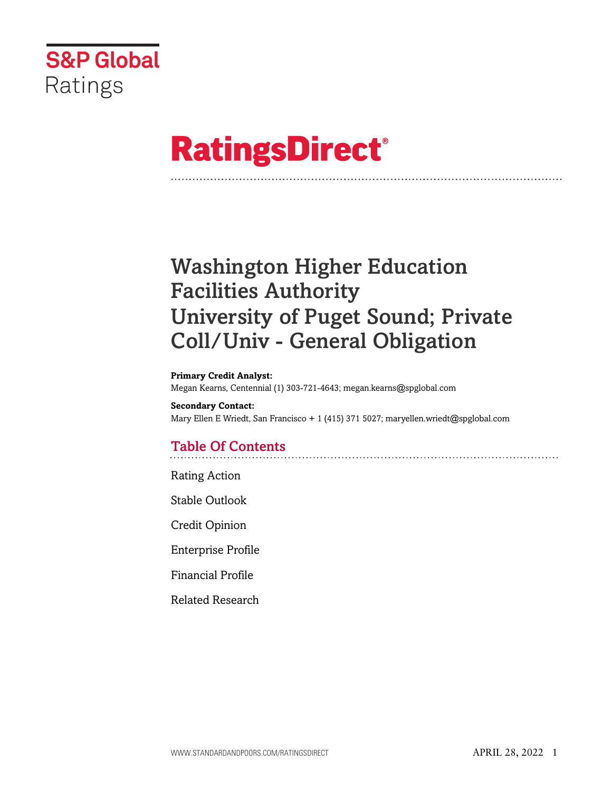

# **RatingsDirect®**

## Washington Higher Education Facilities Authority University of Puget Sound; Private Coll/Univ - General Obligation

#### **Primary Credit Analyst:**

Megan Kearns, Centennial (1) 303-721-4643; megan.kearns@spglobal.com

**Secondary Contact:** Mary Ellen E Wriedt, San Francisco + 1 (415) 371 5027; maryellen.wriedt@spglobal.com

## Table Of Contents

[Rating Action](#page-1-0)

[Stable Outlook](#page-2-0)

[Credit Opinion](#page-3-0)

[Enterprise Profile](#page-3-1)

[Financial Profile](#page-4-0)

[Related Research](#page-6-0)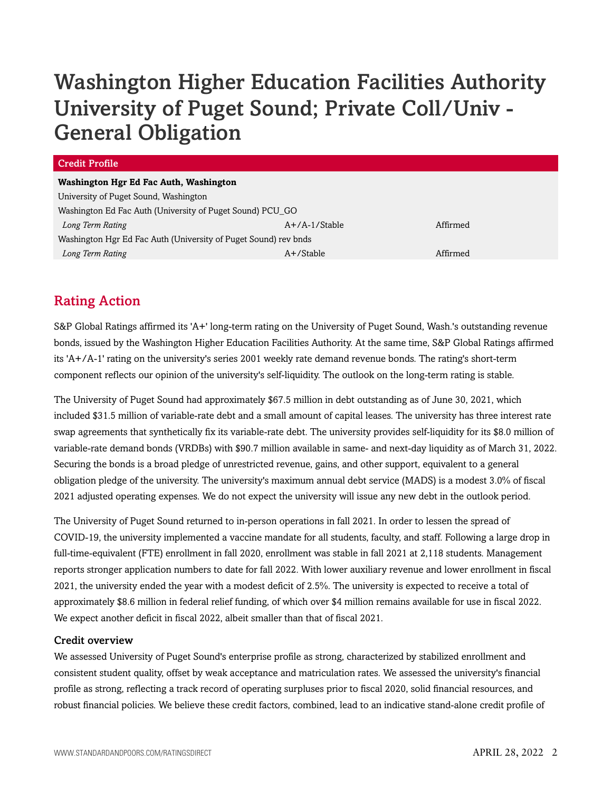## Washington Higher Education Facilities Authority University of Puget Sound; Private Coll/Univ - General Obligation

| Credit Profile                                                  |                 |          |  |  |  |  |  |  |
|-----------------------------------------------------------------|-----------------|----------|--|--|--|--|--|--|
| Washington Hgr Ed Fac Auth, Washington                          |                 |          |  |  |  |  |  |  |
| University of Puget Sound, Washington                           |                 |          |  |  |  |  |  |  |
| Washington Ed Fac Auth (University of Puget Sound) PCU_GO       |                 |          |  |  |  |  |  |  |
| Long Term Rating                                                | $A+/A-1/Stable$ | Affirmed |  |  |  |  |  |  |
| Washington Hgr Ed Fac Auth (University of Puget Sound) rev bnds |                 |          |  |  |  |  |  |  |
| Long Term Rating                                                | $A+$ /Stable    | Affirmed |  |  |  |  |  |  |

## <span id="page-1-0"></span>Rating Action

S&P Global Ratings affirmed its 'A+' long-term rating on the University of Puget Sound, Wash.'s outstanding revenue bonds, issued by the Washington Higher Education Facilities Authority. At the same time, S&P Global Ratings affirmed its 'A+/A-1' rating on the university's series 2001 weekly rate demand revenue bonds. The rating's short-term component reflects our opinion of the university's self-liquidity. The outlook on the long-term rating is stable.

The University of Puget Sound had approximately \$67.5 million in debt outstanding as of June 30, 2021, which included \$31.5 million of variable-rate debt and a small amount of capital leases. The university has three interest rate swap agreements that synthetically fix its variable-rate debt. The university provides self-liquidity for its \$8.0 million of variable-rate demand bonds (VRDBs) with \$90.7 million available in same- and next-day liquidity as of March 31, 2022. Securing the bonds is a broad pledge of unrestricted revenue, gains, and other support, equivalent to a general obligation pledge of the university. The university's maximum annual debt service (MADS) is a modest 3.0% of fiscal 2021 adjusted operating expenses. We do not expect the university will issue any new debt in the outlook period.

The University of Puget Sound returned to in-person operations in fall 2021. In order to lessen the spread of COVID-19, the university implemented a vaccine mandate for all students, faculty, and staff. Following a large drop in full-time-equivalent (FTE) enrollment in fall 2020, enrollment was stable in fall 2021 at 2,118 students. Management reports stronger application numbers to date for fall 2022. With lower auxiliary revenue and lower enrollment in fiscal 2021, the university ended the year with a modest deficit of 2.5%. The university is expected to receive a total of approximately \$8.6 million in federal relief funding, of which over \$4 million remains available for use in fiscal 2022. We expect another deficit in fiscal 2022, albeit smaller than that of fiscal 2021.

## Credit overview

We assessed University of Puget Sound's enterprise profile as strong, characterized by stabilized enrollment and consistent student quality, offset by weak acceptance and matriculation rates. We assessed the university's financial profile as strong, reflecting a track record of operating surpluses prior to fiscal 2020, solid financial resources, and robust financial policies. We believe these credit factors, combined, lead to an indicative stand-alone credit profile of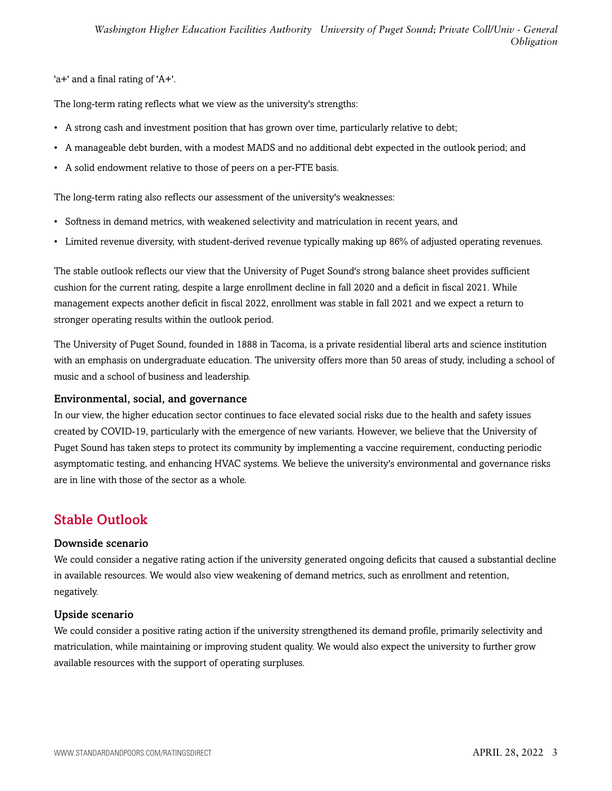'a+' and a final rating of 'A+'.

The long-term rating reflects what we view as the university's strengths:

- A strong cash and investment position that has grown over time, particularly relative to debt;
- A manageable debt burden, with a modest MADS and no additional debt expected in the outlook period; and
- A solid endowment relative to those of peers on a per-FTE basis.

The long-term rating also reflects our assessment of the university's weaknesses:

- Softness in demand metrics, with weakened selectivity and matriculation in recent years, and
- Limited revenue diversity, with student-derived revenue typically making up 86% of adjusted operating revenues.

The stable outlook reflects our view that the University of Puget Sound's strong balance sheet provides sufficient cushion for the current rating, despite a large enrollment decline in fall 2020 and a deficit in fiscal 2021. While management expects another deficit in fiscal 2022, enrollment was stable in fall 2021 and we expect a return to stronger operating results within the outlook period.

The University of Puget Sound, founded in 1888 in Tacoma, is a private residential liberal arts and science institution with an emphasis on undergraduate education. The university offers more than 50 areas of study, including a school of music and a school of business and leadership.

## Environmental, social, and governance

In our view, the higher education sector continues to face elevated social risks due to the health and safety issues created by COVID-19, particularly with the emergence of new variants. However, we believe that the University of Puget Sound has taken steps to protect its community by implementing a vaccine requirement, conducting periodic asymptomatic testing, and enhancing HVAC systems. We believe the university's environmental and governance risks are in line with those of the sector as a whole.

## <span id="page-2-0"></span>Stable Outlook

## Downside scenario

We could consider a negative rating action if the university generated ongoing deficits that caused a substantial decline in available resources. We would also view weakening of demand metrics, such as enrollment and retention, negatively.

## Upside scenario

We could consider a positive rating action if the university strengthened its demand profile, primarily selectivity and matriculation, while maintaining or improving student quality. We would also expect the university to further grow available resources with the support of operating surpluses.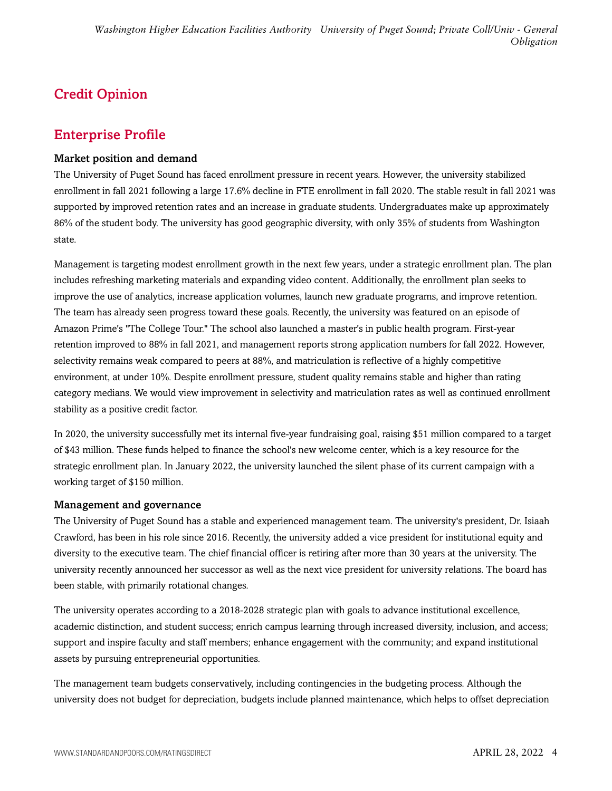## <span id="page-3-0"></span>Credit Opinion

## <span id="page-3-1"></span>Enterprise Profile

## Market position and demand

The University of Puget Sound has faced enrollment pressure in recent years. However, the university stabilized enrollment in fall 2021 following a large 17.6% decline in FTE enrollment in fall 2020. The stable result in fall 2021 was supported by improved retention rates and an increase in graduate students. Undergraduates make up approximately 86% of the student body. The university has good geographic diversity, with only 35% of students from Washington state.

Management is targeting modest enrollment growth in the next few years, under a strategic enrollment plan. The plan includes refreshing marketing materials and expanding video content. Additionally, the enrollment plan seeks to improve the use of analytics, increase application volumes, launch new graduate programs, and improve retention. The team has already seen progress toward these goals. Recently, the university was featured on an episode of Amazon Prime's "The College Tour." The school also launched a master's in public health program. First-year retention improved to 88% in fall 2021, and management reports strong application numbers for fall 2022. However, selectivity remains weak compared to peers at 88%, and matriculation is reflective of a highly competitive environment, at under 10%. Despite enrollment pressure, student quality remains stable and higher than rating category medians. We would view improvement in selectivity and matriculation rates as well as continued enrollment stability as a positive credit factor.

In 2020, the university successfully met its internal five-year fundraising goal, raising \$51 million compared to a target of \$43 million. These funds helped to finance the school's new welcome center, which is a key resource for the strategic enrollment plan. In January 2022, the university launched the silent phase of its current campaign with a working target of \$150 million.

## Management and governance

The University of Puget Sound has a stable and experienced management team. The university's president, Dr. Isiaah Crawford, has been in his role since 2016. Recently, the university added a vice president for institutional equity and diversity to the executive team. The chief financial officer is retiring after more than 30 years at the university. The university recently announced her successor as well as the next vice president for university relations. The board has been stable, with primarily rotational changes.

The university operates according to a 2018-2028 strategic plan with goals to advance institutional excellence, academic distinction, and student success; enrich campus learning through increased diversity, inclusion, and access; support and inspire faculty and staff members; enhance engagement with the community; and expand institutional assets by pursuing entrepreneurial opportunities.

The management team budgets conservatively, including contingencies in the budgeting process. Although the university does not budget for depreciation, budgets include planned maintenance, which helps to offset depreciation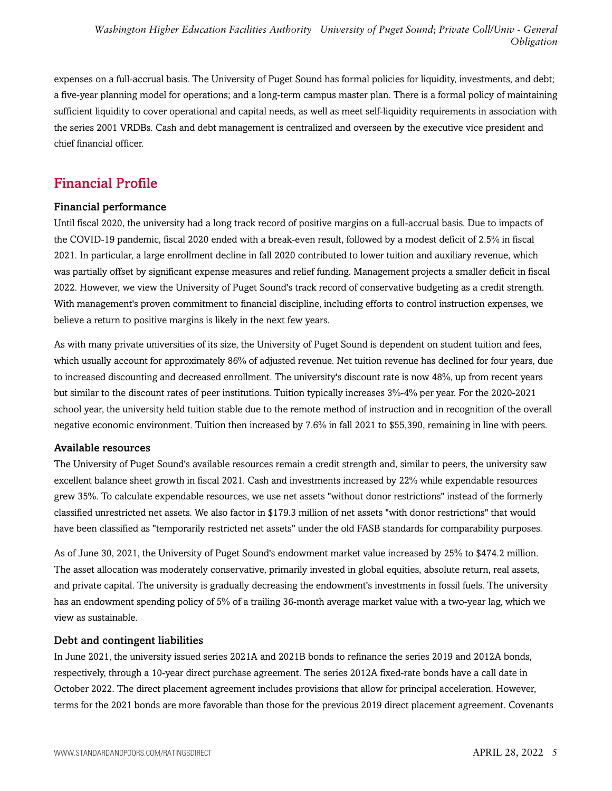expenses on a full-accrual basis. The University of Puget Sound has formal policies for liquidity, investments, and debt; a five-year planning model for operations; and a long-term campus master plan. There is a formal policy of maintaining sufficient liquidity to cover operational and capital needs, as well as meet self-liquidity requirements in association with the series 2001 VRDBs. Cash and debt management is centralized and overseen by the executive vice president and chief financial officer.

## <span id="page-4-0"></span>Financial Profile

## Financial performance

Until fiscal 2020, the university had a long track record of positive margins on a full-accrual basis. Due to impacts of the COVID-19 pandemic, fiscal 2020 ended with a break-even result, followed by a modest deficit of 2.5% in fiscal 2021. In particular, a large enrollment decline in fall 2020 contributed to lower tuition and auxiliary revenue, which was partially offset by significant expense measures and relief funding. Management projects a smaller deficit in fiscal 2022. However, we view the University of Puget Sound's track record of conservative budgeting as a credit strength. With management's proven commitment to financial discipline, including efforts to control instruction expenses, we believe a return to positive margins is likely in the next few years.

As with many private universities of its size, the University of Puget Sound is dependent on student tuition and fees, which usually account for approximately 86% of adjusted revenue. Net tuition revenue has declined for four years, due to increased discounting and decreased enrollment. The university's discount rate is now 48%, up from recent years but similar to the discount rates of peer institutions. Tuition typically increases 3%-4% per year. For the 2020-2021 school year, the university held tuition stable due to the remote method of instruction and in recognition of the overall negative economic environment. Tuition then increased by 7.6% in fall 2021 to \$55,390, remaining in line with peers.

## Available resources

The University of Puget Sound's available resources remain a credit strength and, similar to peers, the university saw excellent balance sheet growth in fiscal 2021. Cash and investments increased by 22% while expendable resources grew 35%. To calculate expendable resources, we use net assets "without donor restrictions" instead of the formerly classified unrestricted net assets. We also factor in \$179.3 million of net assets "with donor restrictions" that would have been classified as "temporarily restricted net assets" under the old FASB standards for comparability purposes.

As of June 30, 2021, the University of Puget Sound's endowment market value increased by 25% to \$474.2 million. The asset allocation was moderately conservative, primarily invested in global equities, absolute return, real assets, and private capital. The university is gradually decreasing the endowment's investments in fossil fuels. The university has an endowment spending policy of 5% of a trailing 36-month average market value with a two-year lag, which we view as sustainable.

## Debt and contingent liabilities

In June 2021, the university issued series 2021A and 2021B bonds to refinance the series 2019 and 2012A bonds, respectively, through a 10-year direct purchase agreement. The series 2012A fixed-rate bonds have a call date in October 2022. The direct placement agreement includes provisions that allow for principal acceleration. However, terms for the 2021 bonds are more favorable than those for the previous 2019 direct placement agreement. Covenants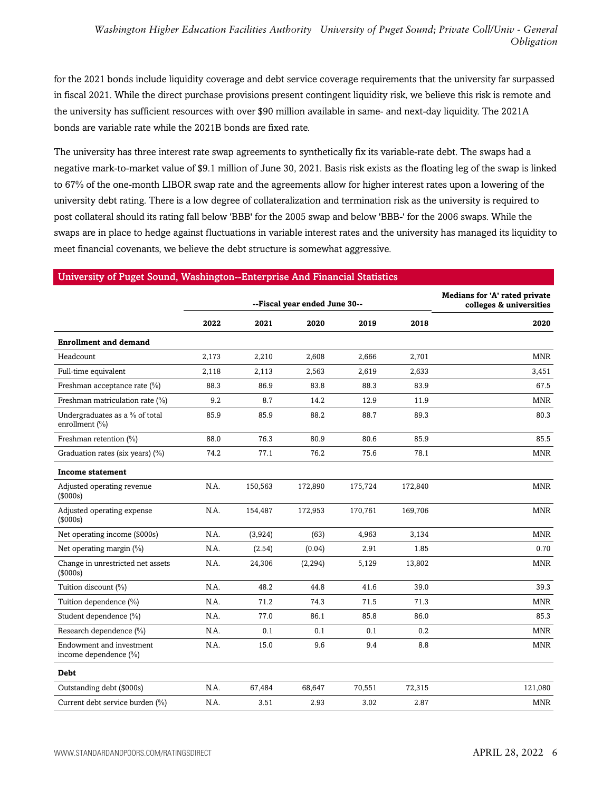for the 2021 bonds include liquidity coverage and debt service coverage requirements that the university far surpassed in fiscal 2021. While the direct purchase provisions present contingent liquidity risk, we believe this risk is remote and the university has sufficient resources with over \$90 million available in same- and next-day liquidity. The 2021A bonds are variable rate while the 2021B bonds are fixed rate.

The university has three interest rate swap agreements to synthetically fix its variable-rate debt. The swaps had a negative mark-to-market value of \$9.1 million of June 30, 2021. Basis risk exists as the floating leg of the swap is linked to 67% of the one-month LIBOR swap rate and the agreements allow for higher interest rates upon a lowering of the university debt rating. There is a low degree of collateralization and termination risk as the university is required to post collateral should its rating fall below 'BBB' for the 2005 swap and below 'BBB-' for the 2006 swaps. While the swaps are in place to hedge against fluctuations in variable interest rates and the university has managed its liquidity to meet financial covenants, we believe the debt structure is somewhat aggressive.

#### University of Puget Sound, Washington--Enterprise And Financial Statistics

|                                                   |       | --Fiscal year ended June 30-- | <b>Medians for 'A' rated private</b><br>colleges & universities |         |         |            |
|---------------------------------------------------|-------|-------------------------------|-----------------------------------------------------------------|---------|---------|------------|
|                                                   | 2022  | 2021                          | 2020                                                            | 2019    | 2018    | 2020       |
| <b>Enrollment and demand</b>                      |       |                               |                                                                 |         |         |            |
| Headcount                                         | 2,173 | 2,210                         | 2,608                                                           | 2,666   | 2,701   | <b>MNR</b> |
| Full-time equivalent                              | 2,118 | 2,113                         | 2,563                                                           | 2,619   | 2,633   | 3,451      |
| Freshman acceptance rate (%)                      | 88.3  | 86.9                          | 83.8                                                            | 88.3    | 83.9    | 67.5       |
| Freshman matriculation rate (%)                   | 9.2   | 8.7                           | 14.2                                                            | 12.9    | 11.9    | <b>MNR</b> |
| Undergraduates as a % of total<br>enrollment (%)  | 85.9  | 85.9                          | 88.2                                                            | 88.7    | 89.3    | 80.3       |
| Freshman retention (%)                            | 88.0  | 76.3                          | 80.9                                                            | 80.6    | 85.9    | 85.5       |
| Graduation rates (six years) (%)                  | 74.2  | 77.1                          | 76.2                                                            | 75.6    | 78.1    | <b>MNR</b> |
| <b>Income statement</b>                           |       |                               |                                                                 |         |         |            |
| Adjusted operating revenue<br>(\$000s)            | N.A.  | 150,563                       | 172,890                                                         | 175,724 | 172,840 | <b>MNR</b> |
| Adjusted operating expense<br>(\$000s)            | N.A.  | 154,487                       | 172,953                                                         | 170,761 | 169,706 | <b>MNR</b> |
| Net operating income (\$000s)                     | N.A.  | (3,924)                       | (63)                                                            | 4,963   | 3,134   | <b>MNR</b> |
| Net operating margin (%)                          | N.A.  | (2.54)                        | (0.04)                                                          | 2.91    | 1.85    | 0.70       |
| Change in unrestricted net assets<br>(\$000s)     | N.A.  | 24,306                        | (2, 294)                                                        | 5,129   | 13,802  | <b>MNR</b> |
| Tuition discount (%)                              | N.A.  | 48.2                          | 44.8                                                            | 41.6    | 39.0    | 39.3       |
| Tuition dependence (%)                            | N.A.  | 71.2                          | 74.3                                                            | 71.5    | 71.3    | <b>MNR</b> |
| Student dependence (%)                            | N.A.  | 77.0                          | 86.1                                                            | 85.8    | 86.0    | 85.3       |
| Research dependence (%)                           | N.A.  | 0.1                           | 0.1                                                             | 0.1     | 0.2     | MNR        |
| Endowment and investment<br>income dependence (%) | N.A.  | 15.0                          | 9.6                                                             | 9.4     | 8.8     | <b>MNR</b> |
| <b>Debt</b>                                       |       |                               |                                                                 |         |         |            |
| Outstanding debt (\$000s)                         | N.A.  | 67,484                        | 68,647                                                          | 70,551  | 72,315  | 121,080    |
| Current debt service burden (%)                   | N.A.  | 3.51                          | 2.93                                                            | 3.02    | 2.87    | <b>MNR</b> |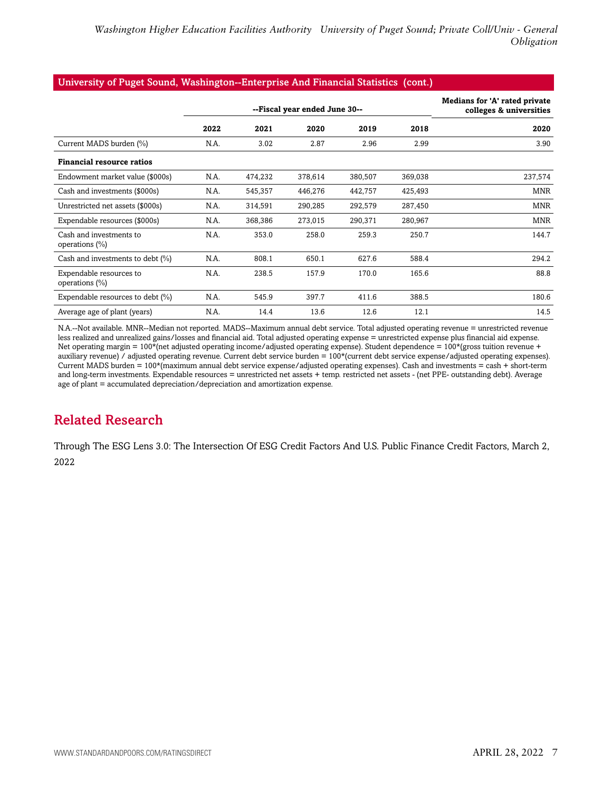#### University of Puget Sound, Washington--Enterprise And Financial Statistics (cont.)

|                                              |      | --Fiscal year ended June 30-- | <b>Medians for 'A' rated private</b><br>colleges & universities |         |         |            |
|----------------------------------------------|------|-------------------------------|-----------------------------------------------------------------|---------|---------|------------|
|                                              | 2022 | 2021                          | 2020                                                            | 2019    | 2018    | 2020       |
| Current MADS burden (%)                      | N.A. | 3.02                          | 2.87                                                            | 2.96    | 2.99    | 3.90       |
| <b>Financial resource ratios</b>             |      |                               |                                                                 |         |         |            |
| Endowment market value (\$000s)              | N.A. | 474,232                       | 378,614                                                         | 380,507 | 369,038 | 237,574    |
| Cash and investments (\$000s)                | N.A. | 545,357                       | 446,276                                                         | 442,757 | 425,493 | <b>MNR</b> |
| Unrestricted net assets (\$000s)             | N.A. | 314,591                       | 290,285                                                         | 292,579 | 287,450 | <b>MNR</b> |
| Expendable resources (\$000s)                | N.A. | 368,386                       | 273,015                                                         | 290,371 | 280,967 | <b>MNR</b> |
| Cash and investments to<br>operations $(\%)$ | N.A. | 353.0                         | 258.0                                                           | 259.3   | 250.7   | 144.7      |
| Cash and investments to debt $(\%)$          | N.A. | 808.1                         | 650.1                                                           | 627.6   | 588.4   | 294.2      |
| Expendable resources to<br>operations $(\%)$ | N.A. | 238.5                         | 157.9                                                           | 170.0   | 165.6   | 88.8       |
| Expendable resources to debt (%)             | N.A. | 545.9                         | 397.7                                                           | 411.6   | 388.5   | 180.6      |
| Average age of plant (years)                 | N.A. | 14.4                          | 13.6                                                            | 12.6    | 12.1    | 14.5       |

N.A.--Not available. MNR--Median not reported. MADS--Maximum annual debt service. Total adjusted operating revenue = unrestricted revenue less realized and unrealized gains/losses and financial aid. Total adjusted operating expense = unrestricted expense plus financial aid expense. Net operating margin = 100\*(net adjusted operating income/adjusted operating expense). Student dependence = 100\*(gross tuition revenue + auxiliary revenue) / adjusted operating revenue. Current debt service burden = 100\*(current debt service expense/adjusted operating expenses). Current MADS burden = 100\*(maximum annual debt service expense/adjusted operating expenses). Cash and investments = cash + short-term and long-term investments. Expendable resources = unrestricted net assets + temp. restricted net assets - (net PPE- outstanding debt). Average age of plant = accumulated depreciation/depreciation and amortization expense.

## <span id="page-6-0"></span>Related Research

Through The ESG Lens 3.0: The Intersection Of ESG Credit Factors And U.S. Public Finance Credit Factors, March 2, 2022